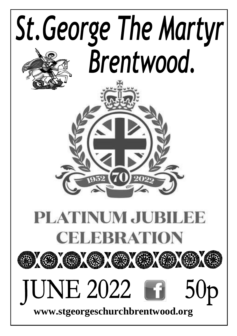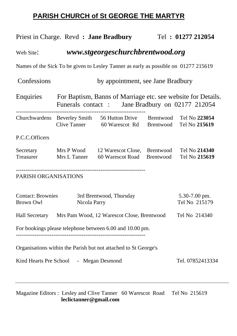#### **PARISH CHURCH of St GEORGE THE MARTYR**

|                                                                                     |                                                                                                                           | Priest in Charge. Revd : Jane Bradbury                                                          |           | Tel: 01277 212054              |  |
|-------------------------------------------------------------------------------------|---------------------------------------------------------------------------------------------------------------------------|-------------------------------------------------------------------------------------------------|-----------|--------------------------------|--|
| www.stgeorgeschurchbrentwood.org<br>Web Site:                                       |                                                                                                                           |                                                                                                 |           |                                |  |
| Names of the Sick To be given to Lesley Tanner as early as possible on 01277 215619 |                                                                                                                           |                                                                                                 |           |                                |  |
| Confessions                                                                         | by appointment, see Jane Bradbury                                                                                         |                                                                                                 |           |                                |  |
|                                                                                     | Enquiries For Baptism, Banns of Marriage etc. see website for Details.<br>Funerals contact: Jane Bradbury on 02177 212054 |                                                                                                 |           |                                |  |
|                                                                                     |                                                                                                                           | Churchwardens Beverley Smith 56 Hutton Drive Brentwood<br>Clive Tanner 60 Warescot Rd Brentwood |           | Tel No 223054<br>Tel No 215619 |  |
| P.C.C.Officers                                                                      |                                                                                                                           |                                                                                                 |           |                                |  |
|                                                                                     |                                                                                                                           | Secretary Mrs P Wood 12 Warescot Close, Brentwood<br>Treasurer Mrs L Tanner 60 Warescot Road    | Brentwood | Tel No 214340<br>Tel No 215619 |  |
| PARISH ORGANISATIONS                                                                |                                                                                                                           |                                                                                                 |           |                                |  |
| <b>Contact: Brownies</b><br>Brown Owl                                               | 5.30-7.00 pm.<br>Tel No 215179                                                                                            |                                                                                                 |           |                                |  |
| Hall Secretary Mrs Pam Wood, 12 Warescot Close, Brentwood<br>Tel No 214340          |                                                                                                                           |                                                                                                 |           |                                |  |
| For bookings please telephone between 6.00 and 10.00 pm.                            |                                                                                                                           |                                                                                                 |           |                                |  |
| Organisations within the Parish but not attached to St George's                     |                                                                                                                           |                                                                                                 |           |                                |  |
| Kind Hearts Pre School - Megan Desmond<br>Tel. 07852413334                          |                                                                                                                           |                                                                                                 |           |                                |  |

Magazine Editors : Lesley and Clive Tanner 60 Warescot Road Tel No 215619 **leclictanner@gmail.com**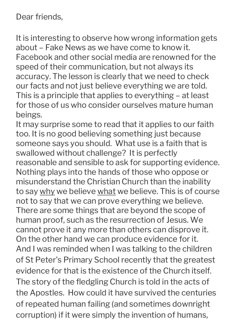Dear friends,

It is interesting to observe how wrong information gets about – Fake News as we have come to know it. Facebook and other social media are renowned for the speed of their communication, but not always its accuracy. The lesson is clearly that we need to check our facts and not just believe everything we are told. This is a principle that applies to everything – at least for those of us who consider ourselves mature human beings.

It may surprise some to read that it applies to our faith too. It is no good believing something just because someone says you should. What use is a faith that is swallowed without challenge? It is perfectly reasonable and sensible to ask for supporting evidence. Nothing plays into the hands of those who oppose or misunderstand the Christian Church than the inability to say why we believe what we believe. This is of course not to say that we can prove everything we believe. There are some things that are beyond the scope of human proof, such as the resurrection of Jesus. We cannot prove it any more than others can disprove it. On the other hand we can produce evidence for it. And I was reminded when I was talking to the children of St Peter's Primary School recently that the greatest evidence for that is the existence of the Church itself. The story of the fledgling Church is told in the acts of the Apostles. How could it have survived the centuries of repeated human failing (and sometimes downright corruption) if it were simply the invention of humans,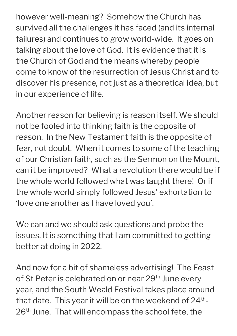however well-meaning? Somehow the Church has survived all the challenges it has faced (and its internal failures) and continues to grow world-wide. It goes on talking about the love of God. It is evidence that it is the Church of God and the means whereby people come to know of the resurrection of Jesus Christ and to discover his presence, not just as a theoretical idea, but in our experience of life.

Another reason for believing is reason itself. We should not be fooled into thinking faith is the opposite of reason. In the New Testament faith is the opposite of fear, not doubt. When it comes to some of the teaching of our Christian faith, such as the Sermon on the Mount, can it be improved? What a revolution there would be if the whole world followed what was taught there! Or if the whole world simply followed Jesus' exhortation to 'love one another as I have loved you'.

We can and we should ask questions and probe the issues. It is something that I am committed to getting better at doing in 2022.

And now for a bit of shameless advertising! The Feast of St Peter is celebrated on or near 29<sup>th</sup> June every year, and the South Weald Festival takes place around that date. This year it will be on the weekend of  $24<sup>th</sup>$ -26<sup>th</sup> June. That will encompass the school fete, the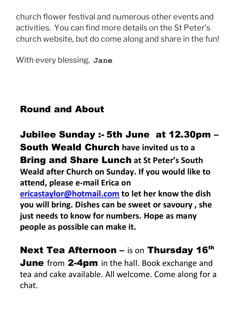church flower festival and numerous other events and activities. You can find more details on the St Peter's church website, but do come along and share in the fun!

With every blessing, **Jane** 

## Round and About

Jubilee Sunday :- 5th June at 12.30pm – South Weald Church **have invited us to a**  Bring and Share Lunch **at St Peter's South Weald after Church on Sunday. If you would like to attend, please e-mail Erica on [ericastaylor@hotmail.com](mailto:ericastaylor@hotmail.com) to let her know the dish you will bring. Dishes can be sweet or savoury , she just needs to know for numbers. Hope as many people as possible can make it.**

**Next Tea Afternoon – is on Thursday 16th June** from 2-4pm in the hall. Book exchange and tea and cake available. All welcome. Come along for a chat.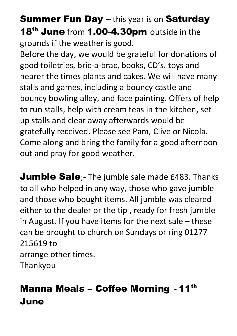**Summer Fun Day – this year is on Saturday** 18<sup>th</sup> June from 1.00-4.30pm outside in the grounds if the weather is good.

Before the day, we would be grateful for donations of good toiletries, bric-a-brac, books, CD's. toys and nearer the times plants and cakes. We will have many stalls and games, including a bouncy castle and bouncy bowling alley, and face painting. Offers of help to run stalls, help with cream teas in the kitchen, set up stalls and clear away afterwards would be gratefully received. Please see Pam, Clive or Nicola. Come along and bring the family for a good afternoon out and pray for good weather.

**Jumble Sale**;- The jumble sale made £483. Thanks to all who helped in any way, those who gave jumble and those who bought items. All jumble was cleared either to the dealer or the tip , ready for fresh jumble in August. If you have items for the next sale – these can be brought to church on Sundays or ring 01277 215619 to arrange other times. Thankyou

Manna Meals – Coffee Morning - 11th June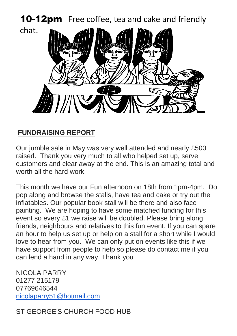**10-12pm** Free coffee, tea and cake and friendly

chat.



#### **FUNDRAISING REPORT**

Our jumble sale in May was very well attended and nearly £500 raised. Thank you very much to all who helped set up, serve customers and clear away at the end. This is an amazing total and worth all the hard work!

This month we have our Fun afternoon on 18th from 1pm-4pm. Do pop along and browse the stalls, have tea and cake or try out the inflatables. Our popular book stall will be there and also face painting. We are hoping to have some matched funding for this event so every £1 we raise will be doubled. Please bring along friends, neighbours and relatives to this fun event. If you can spare an hour to help us set up or help on a stall for a short while I would love to hear from you. We can only put on events like this if we have support from people to help so please do contact me if you can lend a hand in any way. Thank you

NICOLA PARRY 01277 215179 07769646544 [nicolaparry51@hotmail.com](mailto:nicolaparry51@hotmail.com)

ST GEORGE'S CHURCH FOOD HUB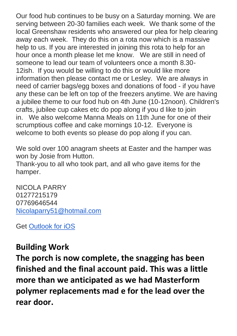Our food hub continues to be busy on a Saturday morning. We are serving between 20-30 families each week. We thank some of the local Greenshaw residents who answered our plea for help clearing away each week. They do this on a rota now which is a massive help to us. If you are interested in joining this rota to help for an hour once a month please let me know. We are still in need of someone to lead our team of volunteers once a month 8.30- 12ish. If you would be willing to do this or would like more information then please contact me or Lesley. We are always in need of carrier bags/egg boxes and donations of food - if you have any these can be left on top of the freezers anytime. We are having a jubilee theme to our food hub on 4th June (10-12noon). Children's crafts, jubilee cup cakes etc do pop along if you d like to join in. We also welcome Manna Meals on 11th June for one of their scrumptious coffee and cake mornings 10-12. Everyone is welcome to both events so please do pop along if you can.

We sold over 100 anagram sheets at Easter and the hamper was won by Josie from Hutton.

Thank-you to all who took part, and all who gave items for the hamper.

NICOLA PARRY 01277215179 07769646544 [Nicolaparry51@hotmail.com](mailto:Nicolaparry51@hotmail.com)

Get [Outlook for iOS](https://aka.ms/o0ukef)

#### **Building Work**

**The porch is now complete, the snagging has been finished and the final account paid. This was a little more than we anticipated as we had Masterform polymer replacements mad e for the lead over the rear door.**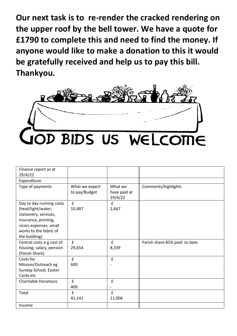**Our next task is to re-render the cracked rendering on the upper roof by the bell tower. We have a quote for £1790 to complete this and need to find the money. If anyone would like to make a donation to this it would be gratefully received and help us to pay this bill. Thankyou.**



| Finance report as at<br>29/4/22                                                                                                                                      |                                 |                                    |                                |
|----------------------------------------------------------------------------------------------------------------------------------------------------------------------|---------------------------------|------------------------------------|--------------------------------|
| Expenditure                                                                                                                                                          |                                 |                                    |                                |
| Type of payments                                                                                                                                                     | What we expect<br>to pay/Budget | What we<br>have paid at<br>29/4/22 | Comments/highlights            |
| Day to day running costs<br>(heat/light/water,<br>stationery, services,<br>insurance, printing,<br>vicars expenses, small<br>works to the fabric of<br>the building) | £<br>10,487                     | f<br>2,667                         |                                |
| Central costs e g cost of<br>housing, salary, pension<br>(Parish Share)                                                                                              | $\mathbf{f}$<br>29,654          | $\mathbf{f}$<br>8,339              | Parish share 85% paid to date. |
| Costs for<br>Mission/Outreach eg<br>Sunday School, Easter<br>Cards etc                                                                                               | $\mathbf{f}$<br>600             | £                                  |                                |
| <b>Charitable Donations</b>                                                                                                                                          | £<br>400                        | £                                  |                                |
| Total                                                                                                                                                                | £<br>41,141                     | £<br>11,006                        |                                |
| Income                                                                                                                                                               |                                 |                                    |                                |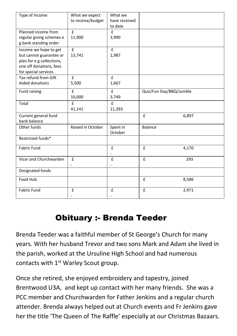| Type of Income                                                                                          | What we expect                           | What we<br>have received      |                         |       |
|---------------------------------------------------------------------------------------------------------|------------------------------------------|-------------------------------|-------------------------|-------|
|                                                                                                         | to receive/budget                        | to date                       |                         |       |
| Planned income from<br>regular giving schemes e<br>g bank standing order                                | £<br>11,900                              | £<br>3,990                    |                         |       |
| Income we hope to get                                                                                   | $\mathbf{f}$                             | $\mathbf{f}$                  |                         |       |
| but cannot guarantee or<br>plan for e g collections,<br>one off donations, fees<br>for special services | 13,741                                   | 1,987                         |                         |       |
| Tax refund from Gift<br>Aided donations                                                                 | £<br>5,500                               | £<br>1,667                    |                         |       |
| Fund raising                                                                                            | £<br>10,000                              | £<br>3,749                    | Quiz/Fun Day/BBQ/Jumble |       |
| Total                                                                                                   | £<br>41,141                              | £<br>11,393                   |                         |       |
| Current general fund<br>bank balance                                                                    |                                          |                               | £                       | 6,897 |
| Other funds                                                                                             | Raised in October                        | Spent in<br>October           | Balance                 |       |
| Restricted funds*                                                                                       |                                          |                               |                         |       |
| <b>Fabric Fund</b>                                                                                      |                                          | £                             | £                       | 4,170 |
| Vicar and Churchwarden                                                                                  | $\mathbf{f}$<br>$\overline{\phantom{a}}$ | £<br>$\overline{\phantom{a}}$ | £                       | 293   |
| Designated funds                                                                                        |                                          |                               |                         |       |
| Food Hub                                                                                                |                                          |                               | £                       | 8,586 |
| <b>Fabric Fund</b>                                                                                      | £                                        | £                             | £                       | 2,971 |

### Obituary :- Brenda Teeder

Brenda Teeder was a faithful member of St George's Church for many years. With her husband Trevor and two sons Mark and Adam she lived in the parish, worked at the Ursuline High School and had numerous contacts with 1<sup>st</sup> Warley Scout group.

Once she retired, she enjoyed embroidery and tapestry, joined Brentwood U3A, and kept up contact with her many friends. She was a PCC member and Churchwarden for Father Jenkins and a regular church attender. Brenda always helped out at Church events and Fr Jenkins gave her the title 'The Queen of The Raffle' especially at our Christmas Bazaars.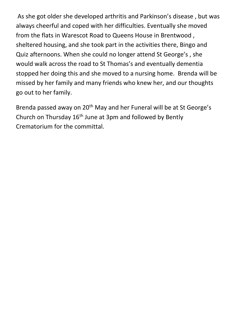As she got older she developed arthritis and Parkinson's disease , but was always cheerful and coped with her difficulties. Eventually she moved from the flats in Warescot Road to Queens House in Brentwood , sheltered housing, and she took part in the activities there, Bingo and Quiz afternoons. When she could no longer attend St George's , she would walk across the road to St Thomas's and eventually dementia stopped her doing this and she moved to a nursing home. Brenda will be missed by her family and many friends who knew her, and our thoughts go out to her family.

Brenda passed away on 20<sup>th</sup> May and her Funeral will be at St George's Church on Thursday  $16<sup>th</sup>$  June at 3pm and followed by Bently Crematorium for the committal.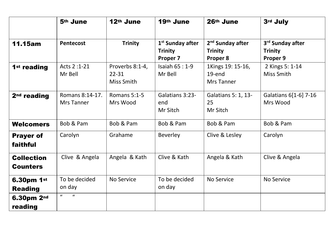|                               | 5 <sup>th</sup> June          | 12th June                                  | 19th June                                                  | 26th June                                                  | 3rd July                                                   |
|-------------------------------|-------------------------------|--------------------------------------------|------------------------------------------------------------|------------------------------------------------------------|------------------------------------------------------------|
| 11.15am                       | Pentecost                     | <b>Trinity</b>                             | 1 <sup>st</sup> Sunday after<br><b>Trinity</b><br>Proper 7 | 2 <sup>nd</sup> Sunday after<br><b>Trinity</b><br>Proper 8 | 3 <sup>rd</sup> Sunday after<br><b>Trinity</b><br>Proper 9 |
| 1 <sup>st</sup> reading       | Acts 2:1-21<br>Mr Bell        | Proverbs 8:1-4,<br>$22 - 31$<br>Miss Smith | Isaiah $65:1-9$<br>Mr Bell                                 | 1Kings 19: 15-16,<br>19-end<br>Mrs Tanner                  | 2 Kings 5: 1-14<br>Miss Smith                              |
| 2 <sup>nd</sup> reading       | Romans 8:14-17.<br>Mrs Tanner | Romans 5:1-5<br>Mrs Wood                   | Galatians 3:23-<br>end<br>Mr Sitch                         | Galatians 5: 1, 13-<br>25<br>Mr Sitch                      | Galatians 6[1-6] 7-16<br>Mrs Wood                          |
| Welcomers                     | Bob & Pam                     | Bob & Pam                                  | Bob & Pam                                                  | Bob & Pam                                                  | Bob & Pam                                                  |
| <b>Prayer of</b><br>faithful  | Carolyn                       | Grahame                                    | Beverley                                                   | Clive & Lesley                                             | Carolyn                                                    |
| <b>Collection</b><br>Counters | Clive & Angela                | Angela & Kath                              | Clive & Kath                                               | Angela & Kath                                              | Clive & Angela                                             |
| 6.30pm 1st<br><b>Reading</b>  | To be decided<br>on day       | No Service                                 | To be decided<br>on day                                    | No Service                                                 | No Service                                                 |
| 6.30pm 2nd<br>reading         | $\mathbf{u}$<br>$\mathbf{u}$  |                                            |                                                            |                                                            |                                                            |